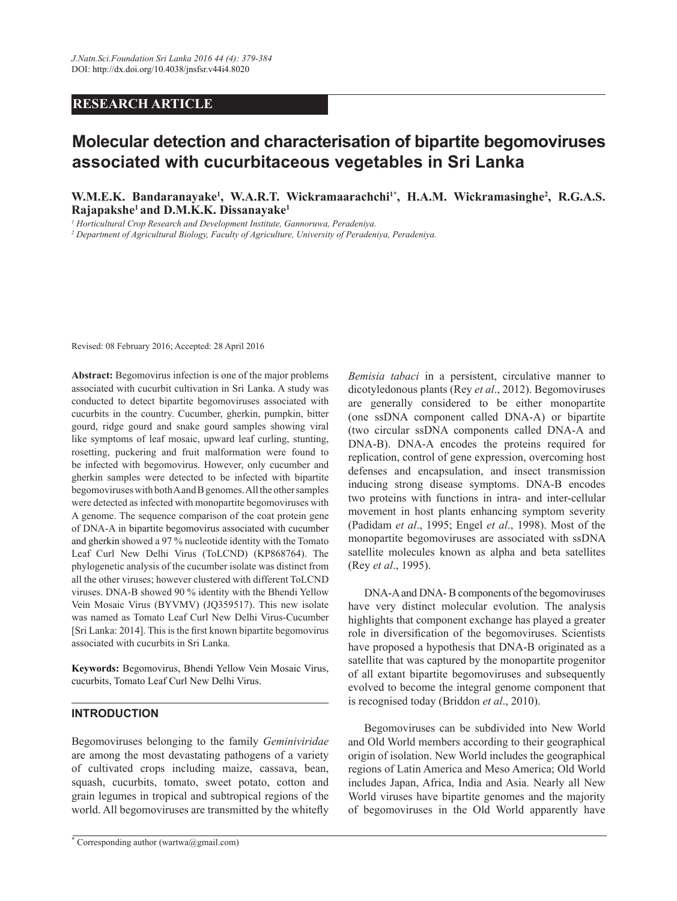# **RESEARCH ARTICLE**

# **Molecular detection and characterisation of bipartite begomoviruses** associated with cucurbitaceous vegetables in Sri Lanka

**W.M.E.K. Bandaranayake<sup>1</sup>, W.A.R.T. Wickramaarachchi<sup>1\*</sup>, H.A.M. Wickramasinghe<sup>2</sup>, R.G.A.S. Example 1 Rajapakshe<sup>1</sup> and D.M.K.K. Dissanavake<sup>1</sup>** 

*1 Horticultural Crop Research and Development Institute, Gannoruwa, Peradeniya.*

*2 Department of Agricultural Biology, Faculty of Agriculture, University of Peradeniya, Peradeniya.* 

Revised: 08 February 2016; Accepted: 28 April 2016

Abstract: Begomovirus infection is one of the major problems associated with cucurbit cultivation in Sri Lanka. A study was conducted to detect bipartite begomoviruses associated with cucurbits in the country. Cucumber, gherkin, pumpkin, bitter gourd, ridge gourd and snake gourd samples showing viral like symptoms of leaf mosaic, upward leaf curling, stunting, rosetting, puckering and fruit malformation were found to be infected with begomovirus. However, only cucumber and gherkin samples were detected to be infected with bipartite begomoviruses with both A and B genomes. All the other samples were detected as infected with monopartite begomoviruses with A genome. The sequence comparison of the coat protein gene of DNA-A in bipartite begomovirus associated with cucumber and gherkin showed a 97 % nucleotide identity with the Tomato Leaf Curl New Delhi Virus (ToLCND) (KP868764). The phylogenetic analysis of the cucumber isolate was distinct from all the other viruses; however clustered with different ToLCND viruses. DNA-B showed 90 % identity with the Bhendi Yellow Vein Mosaic Virus (BYVMV) (JQ359517). This new isolate was named as Tomato Leaf Curl New Delhi Virus-Cucumber [Sri Lanka: 2014]. This is the first known bipartite begomovirus associated with cucurbits in Sri Lanka.

Keywords: Begomovirus, Bhendi Yellow Vein Mosaic Virus, cucurbits, Tomato Leaf Curl New Delhi Virus.

# **INTRODUCTION**

Begomoviruses belonging to the family *Geminiviridae*  are among the most devastating pathogens of a variety of cultivated crops including maize, cassava, bean, squash, cucurbits, tomato, sweet potato, cotton and grain legumes in tropical and subtropical regions of the world. All begomoviruses are transmitted by the whitefly *Bemisia tabaci* in a persistent, circulative manner to dicotyledonous plants (Rey *et al*., 2012). Begomoviruses are generally considered to be either monopartite (one ssDNA component called DNA-A) or bipartite (two circular ssDNA components called DNA-A and DNA-B). DNA-A encodes the proteins required for replication, control of gene expression, overcoming host defenses and encapsulation, and insect transmission inducing strong disease symptoms. DNA-B encodes two proteins with functions in intra- and inter-cellular movement in host plants enhancing symptom severity (Padidam *et al*., 1995; Engel *et al*., 1998). Most of the monopartite begomoviruses are associated with ssDNA satellite molecules known as alpha and beta satellites (Rey *et al*., 1995).

 DNA-A and DNA- B components of the begomoviruses have very distinct molecular evolution. The analysis highlights that component exchange has played a greater role in diversification of the begomoviruses. Scientists have proposed a hypothesis that DNA-B originated as a satellite that was captured by the monopartite progenitor of all extant bipartite begomoviruses and subsequently evolved to become the integral genome component that is recognised today (Briddon *et al*., 2010).

 Begomoviruses can be subdivided into New World and Old World members according to their geographical origin of isolation. New World includes the geographical regions of Latin America and Meso America; Old World includes Japan, Africa, India and Asia. Nearly all New World viruses have bipartite genomes and the majority of begomoviruses in the Old World apparently have

**<sup>\*</sup>** Corresponding author (wartwa@gmail.com)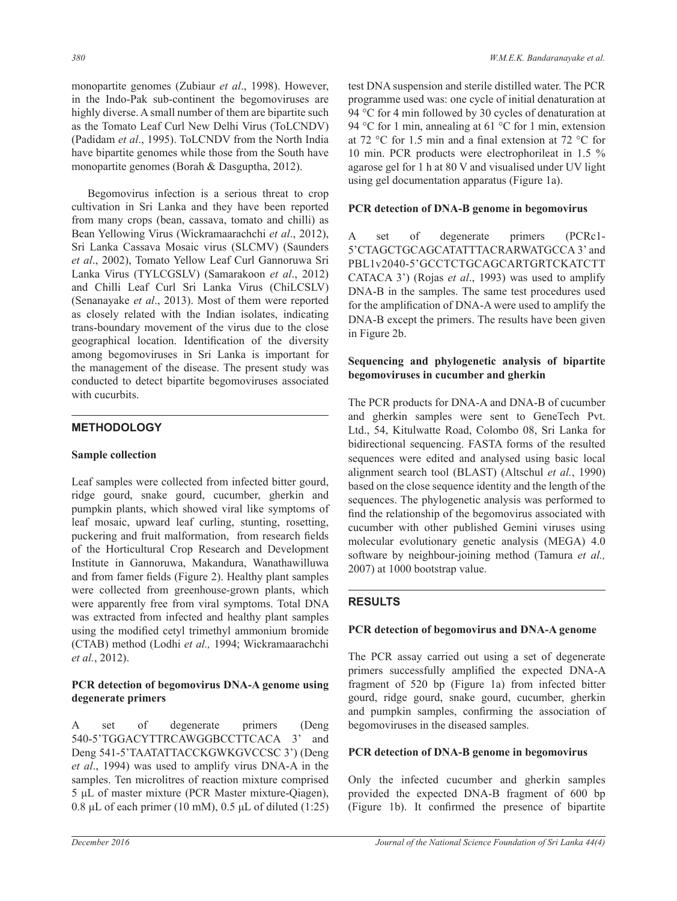monopartite genomes (Zubiaur *et al*., 1998). However, in the Indo-Pak sub-continent the begomoviruses are highly diverse. A small number of them are bipartite such as the Tomato Leaf Curl New Delhi Virus (ToLCNDV) (Padidam *et al*., 1995). ToLCNDV from the North India have bipartite genomes while those from the South have monopartite genomes (Borah & Dasguptha, 2012).

 Begomovirus infection is a serious threat to crop cultivation in Sri Lanka and they have been reported from many crops (bean, cassava, tomato and chilli) as Bean Yellowing Virus (Wickramaarachchi *et al*., 2012), Sri Lanka Cassava Mosaic virus (SLCMV) (Saunders *et al*., 2002), Tomato Yellow Leaf Curl Gannoruwa Sri Lanka Virus (TYLCGSLV) (Samarakoon *et al*., 2012) and Chilli Leaf Curl Sri Lanka Virus (ChiLCSLV) (Senanayake *et al*., 2013). Most of them were reported as closely related with the Indian isolates, indicating trans-boundary movement of the virus due to the close geographical location. Identification of the diversity among begomoviruses in Sri Lanka is important for the management of the disease. The present study was conducted to detect bipartite begomoviruses associated with cucurbits.

# **METHODOLOGY**

# **Sample collection**

Leaf samples were collected from infected bitter gourd, ridge gourd, snake gourd, cucumber, gherkin and pumpkin plants, which showed viral like symptoms of leaf mosaic, upward leaf curling, stunting, rosetting, puckering and fruit malformation, from research fields of the Horticultural Crop Research and Development Institute in Gannoruwa, Makandura, Wanathawilluwa and from famer fields (Figure 2). Healthy plant samples were collected from greenhouse-grown plants, which were apparently free from viral symptoms. Total DNA was extracted from infected and healthy plant samples using the modified cetyl trimethyl ammonium bromide (CTAB) method (Lodhi *et al.,* 1994; Wickramaarachchi *et al.*, 2012).

# **PCR** detection of begomovirus DNA-A genome using degenerate primers

A set of degenerate primers (Deng 540-5'TGGACYTTRCAWGGBCCTTCACA 3' and Deng 541-5'TAATATTACCKGWKGVCCSC 3') (Deng *et al*., 1994) was used to amplify virus DNA-A in the samples. Ten microlitres of reaction mixture comprised 5 µL of master mixture (PCR Master mixture-Qiagen), 0.8 µL of each primer (10 mM),  $0.5$  µL of diluted (1:25) test DNA suspension and sterile distilled water. The PCR programme used was: one cycle of initial denaturation at 94 °C for 4 min followed by 30 cycles of denaturation at 94 °C for 1 min, annealing at 61 °C for 1 min, extension at 72 °C for 1.5 min and a final extension at 72 °C for 10 min. PCR products were electrophorileat in 1.5 % agarose gel for 1 h at 80 V and visualised under UV light using gel documentation apparatus (Figure 1a).

## **PCR** detection of DNA-B genome in begomovirus

A set of degenerate primers (PCRc1- 5'CTAGCTGCAGCATATTTACRARWATGCCA 3' and PBL1v2040-5'GCCTCTGCAGCARTGRTCKATCTT CATACA 3') (Rojas *et al*., 1993) was used to amplify DNA-B in the samples. The same test procedures used for the amplification of DNA-A were used to amplify the DNA-B except the primers. The results have been given in Figure 2b.

# Sequencing and phylogenetic analysis of bipartite **begomoviruses in cucumber and gherkin**

The PCR products for DNA-A and DNA-B of cucumber and gherkin samples were sent to GeneTech Pvt. Ltd., 54, Kitulwatte Road, Colombo 08, Sri Lanka for bidirectional sequencing. FASTA forms of the resulted sequences were edited and analysed using basic local alignment search tool (BLAST) (Altschul *et al.*, 1990) based on the close sequence identity and the length of the sequences. The phylogenetic analysis was performed to find the relationship of the begomovirus associated with cucumber with other published Gemini viruses using molecular evolutionary genetic analysis (MEGA) 4.0 software by neighbour-joining method (Tamura *et al.,* 2007) at 1000 bootstrap value.

# **RESULTS**

# **PCR** detection of begomovirus and DNA-A genome

The PCR assay carried out using a set of degenerate primers successfully amplified the expected DNA-A fragment of 520 bp (Figure 1a) from infected bitter gourd, ridge gourd, snake gourd, cucumber, gherkin and pumpkin samples, confirming the association of begomoviruses in the diseased samples.

### **PCR** detection of DNA-B genome in begomovirus

Only the infected cucumber and gherkin samples provided the expected DNA-B fragment of 600 bp (Figure 1b). It confirmed the presence of bipartite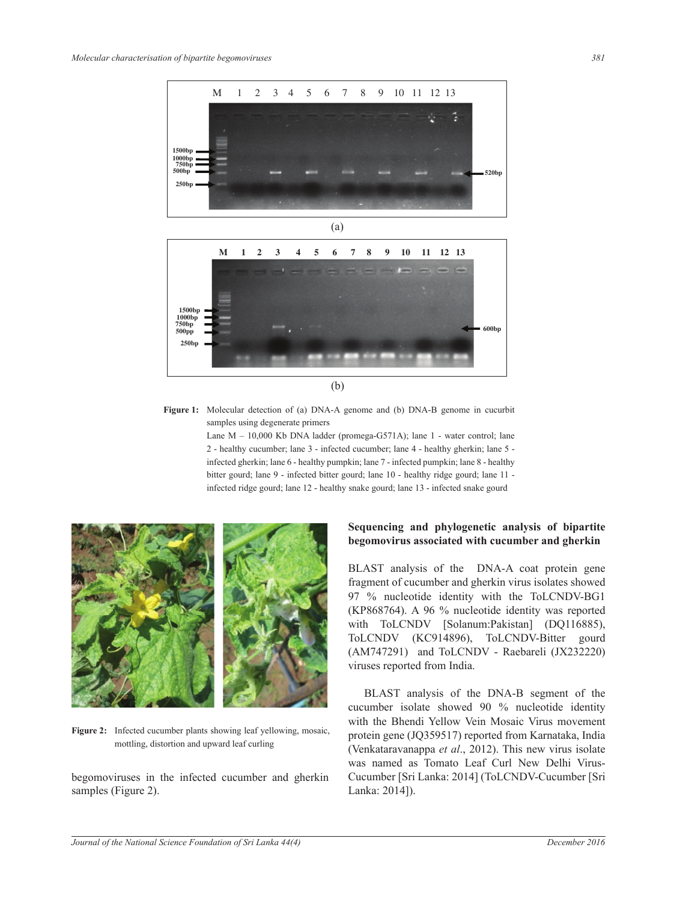

Figure 1: Molecular detection of (a) DNA-A genome and (b) DNA-B genome in cucurbit samples using degenerate primers

> Lane  $M - 10,000$  Kb DNA ladder (promega-G571A); lane 1 - water control; lane 2 - healthy cucumber; lane 3 - infected cucumber; lane 4 - healthy gherkin; lane 5 infected gherkin; lane 6 - healthy pumpkin; lane 7 - infected pumpkin; lane 8 - healthy bitter gourd; lane 9 - infected bitter gourd; lane 10 - healthy ridge gourd; lane 11 infected ridge gourd; lane 12 - healthy snake gourd; lane 13 - infected snake gourd



Figure 2: Infected cucumber plants showing leaf yellowing, mosaic, mottling, distortion and upward leaf curling

begomoviruses in the infected cucumber and gherkin samples (Figure 2).

# Sequencing and phylogenetic analysis of bipartite **EXPLOMISED EXPLOMISE SEXUAL EXPLOMISED SEXUAL EXPLOMISTION SEXUAL EXPLOMISTION SEXUAL EXPLOMISTION SEXUAL EXPLOMIST**

BLAST analysis of the DNA-A coat protein gene fragment of cucumber and gherkin virus isolates showed 97 % nucleotide identity with the ToLCNDV-BG1 (KP868764). A 96 % nucleotide identity was reported with ToLCNDV [Solanum:Pakistan] (DQ116885), ToLCNDV (KC914896), ToLCNDV-Bitter gourd (AM747291) and ToLCNDV - Raebareli (JX232220) viruses reported from India.

 BLAST analysis of the DNA-B segment of the cucumber isolate showed 90 % nucleotide identity with the Bhendi Yellow Vein Mosaic Virus movement protein gene (JQ359517) reported from Karnataka, India (Venkataravanappa *et al*., 2012). This new virus isolate was named as Tomato Leaf Curl New Delhi Virus-Cucumber [Sri Lanka: 2014] (ToLCNDV-Cucumber [Sri Lanka: 2014]).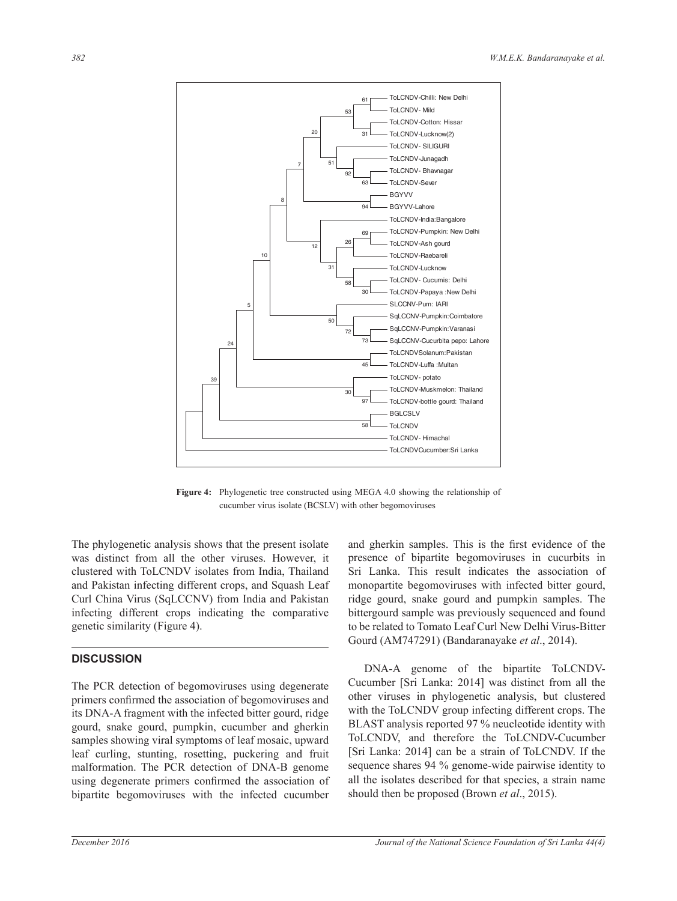

**Figure 4:** Phylogenetic tree constructed using MEGA 4.0 showing the relationship of cucumber virus isolate (BCSLV) with other begomoviruses

The phylogenetic analysis shows that the present isolate was distinct from all the other viruses. However, it clustered with ToLCNDV isolates from India, Thailand and Pakistan infecting different crops, and Squash Leaf Curl China Virus (SqLCCNV) from India and Pakistan infecting different crops indicating the comparative genetic similarity (Figure 4).

# **DISCUSSION**

The PCR detection of begomoviruses using degenerate primers confirmed the association of begomoviruses and its DNA-A fragment with the infected bitter gourd, ridge gourd, snake gourd, pumpkin, cucumber and gherkin samples showing viral symptoms of leaf mosaic, upward leaf curling, stunting, rosetting, puckering and fruit malformation. The PCR detection of DNA-B genome using degenerate primers confirmed the association of bipartite begomoviruses with the infected cucumber and gherkin samples. This is the first evidence of the presence of bipartite begomoviruses in cucurbits in Sri Lanka. This result indicates the association of monopartite begomoviruses with infected bitter gourd, ridge gourd, snake gourd and pumpkin samples. The bittergourd sample was previously sequenced and found to be related to Tomato Leaf Curl New Delhi Virus-Bitter Gourd (AM747291) (Bandaranayake *et al*., 2014).

 DNA-A genome of the bipartite ToLCNDV-Cucumber [Sri Lanka: 2014] was distinct from all the other viruses in phylogenetic analysis, but clustered with the ToLCNDV group infecting different crops. The BLAST analysis reported 97 % neucleotide identity with ToLCNDV, and therefore the ToLCNDV-Cucumber [Sri Lanka: 2014] can be a strain of ToLCNDV. If the sequence shares 94 % genome-wide pairwise identity to all the isolates described for that species, a strain name should then be proposed (Brown *et al*., 2015).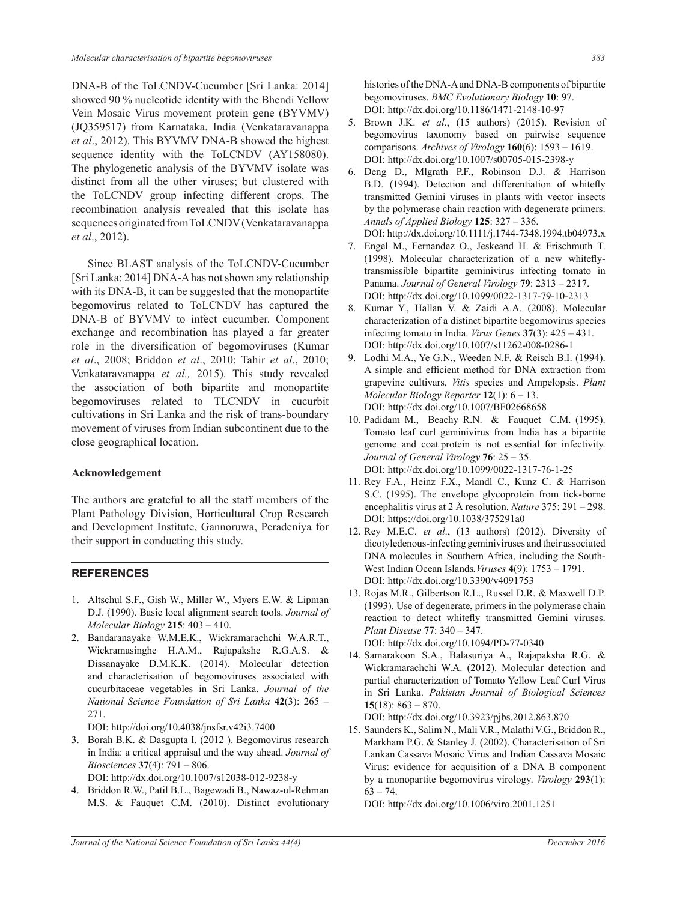DNA-B of the ToLCNDV-Cucumber [Sri Lanka: 2014] showed 90 % nucleotide identity with the Bhendi Yellow Vein Mosaic Virus movement protein gene (BYVMV) (JQ359517) from Karnataka, India (Venkataravanappa *et al*., 2012). This BYVMV DNA-B showed the highest sequence identity with the ToLCNDV (AY158080). The phylogenetic analysis of the BYVMV isolate was distinct from all the other viruses; but clustered with the ToLCNDV group infecting different crops. The recombination analysis revealed that this isolate has sequences originated from ToLCNDV (Venkataravanappa *et al*., 2012).

 Since BLAST analysis of the ToLCNDV-Cucumber [Sri Lanka: 2014] DNA-A has not shown any relationship with its DNA-B, it can be suggested that the monopartite begomovirus related to ToLCNDV has captured the DNA-B of BYVMV to infect cucumber. Component exchange and recombination has played a far greater role in the diversification of begomoviruses (Kumar *et al*., 2008; Briddon *et al*., 2010; Tahir *et al*., 2010; Venkataravanappa *et al.,* 2015). This study revealed the association of both bipartite and monopartite begomoviruses related to TLCNDV in cucurbit cultivations in Sri Lanka and the risk of trans-boundary movement of viruses from Indian subcontinent due to the close geographical location.

### **Acknowledgement**

The authors are grateful to all the staff members of the Plant Pathology Division, Horticultural Crop Research and Development Institute, Gannoruwa, Peradeniya for their support in conducting this study.

### **REFERENCES**

- 1. Altschul S.F., Gish W., Miller W., Myers E.W. & Lipman D.J. (1990). Basic local alignment search tools. *Journal of Molecular Biology* **215**: 403 – 410.
- 2. Bandaranayake W.M.E.K., Wickramarachchi W.A.R.T., Wickramasinghe H.A.M., Rajapakshe R.G.A.S. & Dissanayake D.M.K.K. (2014). Molecular detection and characterisation of begomoviruses associated with cucurbitaceae vegetables in Sri Lanka. *Journal of the National Science Foundation of Sri Lanka* **42**(3): 265 – 271.

DOI: http://doi.org/10.4038/jnsfsr.v42i3.7400

3. Borah B.K. & Dasgupta I. (2012 ). Begomovirus research in India: a critical appraisal and the way ahead. *Journal of Biosciences* **37**(4): 791 – 806.

DOI: http://dx.doi.org/10.1007/s12038-012-9238-y

4. Briddon R.W., Patil B.L., Bagewadi B., Nawaz-ul-Rehman M.S. & Fauquet C.M. (2010). Distinct evolutionary histories of the DNA-A and DNA-B components of bipartite begomoviruses. *BMC Evolutionary Biology* **10**: 97. DOI: http://dx.doi.org/10.1186/1471-2148-10-97

- 5. Brown J.K. *et al*., (15 authors) (2015). Revision of begomovirus taxonomy based on pairwise sequence comparisons. *Archives of Virology* **160**(6): 1593 – 1619. DOI: http://dx.doi.org/10.1007/s00705-015-2398-y
- 6. Deng D., Mlgrath P.F., Robinson D.J. & Harrison B.D. (1994). Detection and differentiation of whitefly transmitted Gemini viruses in plants with vector insects by the polymerase chain reaction with degenerate primers. *Annals of Applied Biology* **125**: 327 – 336. DOI: http://dx.doi.org/10.1111/j.1744-7348.1994.tb04973.x
- 
- 7. Engel M., Fernandez O., Jeskeand H. & Frischmuth T. (1998). Molecular characterization of a new whiteflytransmissible bipartite geminivirus infecting tomato in Panama. *Journal of General Virology* **79**: 2313 – 2317. DOI: http://dx.doi.org/10.1099/0022-1317-79-10-2313
- 8. Kumar Y., Hallan V. & Zaidi A.A. (2008). Molecular characterization of a distinct bipartite begomovirus species infecting tomato in India. *Virus Genes* **37**(3): 425 – 431. DOI: http://dx.doi.org/10.1007/s11262-008-0286-1
- 9. Lodhi M.A., Ye G.N., Weeden N.F. & Reisch B.I. (1994). A simple and efficient method for DNA extraction from grapevine cultivars, *Vitis* species and Ampelopsis. *Plant Molecular Biology Reporter* **12**(1): 6 – 13. DOI: http://dx.doi.org/10.1007/BF02668658
- 10. Padidam M., Beachy R.N. & Fauquet C.M. (1995). Tomato leaf curl geminivirus from India has a bipartite genome and coat protein is not essential for infectivity. *Journal of General Virology* **76**: 25 – 35. DOI: http://dx.doi.org/10.1099/0022-1317-76-1-25
- 11. Rey F.A., Heinz F.X., Mandl C., Kunz C. & Harrison S.C. (1995). The envelope glycoprotein from tick-borne encephalitis virus at 2 Å resolution. *Nature* 375: 291 – 298. DOI: https://doi.org/10.1038/375291a0
- 12. Rey M.E.C. *et al*., (13 authors) (2012). Diversity of dicotyledenous-infecting geminiviruses and their associated DNA molecules in Southern Africa, including the South-West Indian Ocean Islands*.Viruses* **4**(9): 1753 – 1791. DOI: http://dx.doi.org/10.3390/v4091753
- 13. Rojas M.R., Gilbertson R.L., Russel D.R. & Maxwell D.P. (1993). Use of degenerate, primers in the polymerase chain reaction to detect whitefly transmitted Gemini viruses. *Plant Disease* **77**: 340 – 347. DOI: http://dx.doi.org/10.1094/PD-77-0340
- 14. Samarakoon S.A., Balasuriya A., Rajapaksha R.G. & Wickramarachchi W.A. (2012). Molecular detection and partial characterization of Tomato Yellow Leaf Curl Virus in Sri Lanka. *Pakistan Journal of Biological Sciences*  **15**(18): 863 – 870.

DOI: http://dx.doi.org/10.3923/pjbs.2012.863.870

15. Saunders K., Salim N., Mali V.R., Malathi V.G., Briddon R., Markham P.G. & Stanley J. (2002). Characterisation of Sri Lankan Cassava Mosaic Virus and Indian Cassava Mosaic Virus: evidence for acquisition of a DNA B component by a monopartite begomovirus virology. *Virology* **293**(1):  $63 - 74.$ 

DOI: http://dx.doi.org/10.1006/viro.2001.1251